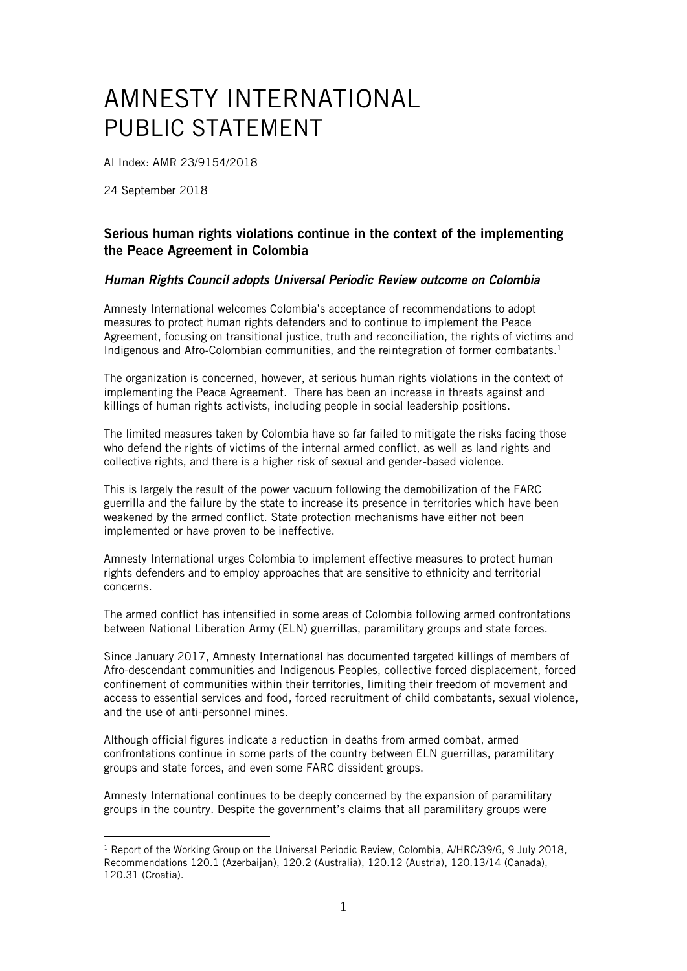## AMNESTY INTERNATIONAL PUBLIC STATEMENT

AI Index: AMR 23/9154/2018

24 September 2018

1

## Serious human rights violations continue in the context of the implementing the Peace Agreement in Colombia

## *Human Rights Council adopts Universal Periodic Review outcome on Colombia*

Amnesty International welcomes Colombia's acceptance of recommendations to adopt measures to protect human rights defenders and to continue to implement the Peace Agreement, focusing on transitional justice, truth and reconciliation, the rights of victims and Indigenous and Afro-Colombian communities, and the reintegration of former combatants.<sup>1</sup>

The organization is concerned, however, at serious human rights violations in the context of implementing the Peace Agreement. There has been an increase in threats against and killings of human rights activists, including people in social leadership positions.

The limited measures taken by Colombia have so far failed to mitigate the risks facing those who defend the rights of victims of the internal armed conflict, as well as land rights and collective rights, and there is a higher risk of sexual and gender-based violence.

This is largely the result of the power vacuum following the demobilization of the FARC guerrilla and the failure by the state to increase its presence in territories which have been weakened by the armed conflict. State protection mechanisms have either not been implemented or have proven to be ineffective.

Amnesty International urges Colombia to implement effective measures to protect human rights defenders and to employ approaches that are sensitive to ethnicity and territorial concerns.

The armed conflict has intensified in some areas of Colombia following armed confrontations between National Liberation Army (ELN) guerrillas, paramilitary groups and state forces.

Since January 2017, Amnesty International has documented targeted killings of members of Afro-descendant communities and Indigenous Peoples, collective forced displacement, forced confinement of communities within their territories, limiting their freedom of movement and access to essential services and food, forced recruitment of child combatants, sexual violence, and the use of anti-personnel mines.

Although official figures indicate a reduction in deaths from armed combat, armed confrontations continue in some parts of the country between ELN guerrillas, paramilitary groups and state forces, and even some FARC dissident groups.

Amnesty International continues to be deeply concerned by the expansion of paramilitary groups in the country. Despite the government's claims that all paramilitary groups were

<sup>&</sup>lt;sup>1</sup> Report of the Working Group on the Universal Periodic Review, Colombia, A/HRC/39/6, 9 July 2018, Recommendations 120.1 (Azerbaijan), 120.2 (Australia), 120.12 (Austria), 120.13/14 (Canada), 120.31 (Croatia).